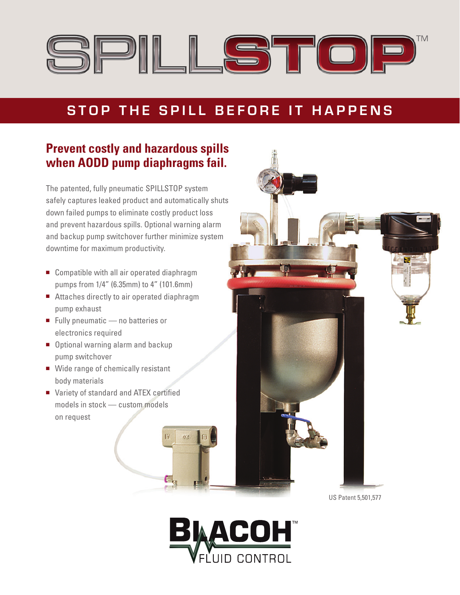

## **Stop the Spill Before it H appen s**

### **Prevent costly and hazardous spills when AODD pump diaphragms fail.**

The patented, fully pneumatic SPILLSTOP system safely captures leaked product and automatically shuts down failed pumps to eliminate costly product loss and prevent hazardous spills. Optional warning alarm and backup pump switchover further minimize system downtime for maximum productivity.

- Compatible with all air operated diaphragm pumps from 1/4" (6.35mm) to 4" (101.6mm)
- Attaches directly to air operated diaphragm pump exhaust
- Fully pneumatic  $-$  no batteries or electronics required
- Optional warning alarm and backup pump switchover
- $\blacksquare$  Wide range of chemically resistant body materials
- Variety of standard and ATEX certified models in stock — custom models on request



US Patent 5,501,577